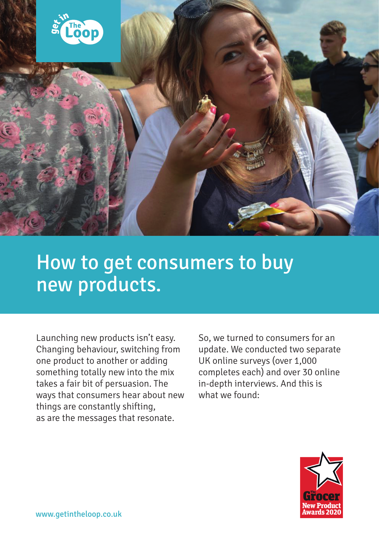

# How to get consumers to buy new products.

Launching new products isn't easy. Changing behaviour, switching from one product to another or adding something totally new into the mix takes a fair bit of persuasion. The ways that consumers hear about new things are constantly shifting, as are the messages that resonate.

So, we turned to consumers for an update. We conducted two separate UK online surveys (over 1,000 completes each) and over 30 online in-depth interviews. And this is what we found:

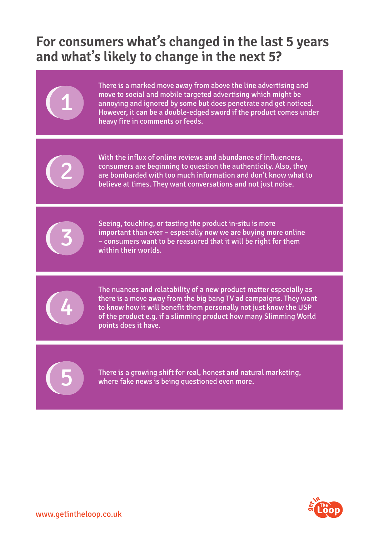### **For consumers what's changed in the last 5 years and what's likely to change in the next 5?**





11

With the influx of online reviews and abundance of influencers, consumers are beginning to question the authenticity. Also, they are bombarded with too much information and don't know what to believe at times. They want conversations and not just noise.



Seeing, touching, or tasting the product in-situ is more important than ever – especially now we are buying more online – consumers want to be reassured that it will be right for them within their worlds.



The nuances and relatability of a new product matter especially as there is a move away from the big bang TV ad campaigns. They want to know how it will benefit them personally not just know the USP of the product e.g. if a slimming product how many Slimming World points does it have.

55

There is a growing shift for real, honest and natural marketing, where fake news is being questioned even more.

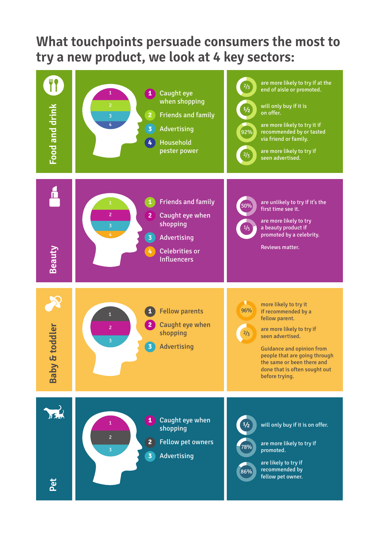#### **What touchpoints persuade consumers the most to try a new product, we look at 4 key sectors:**

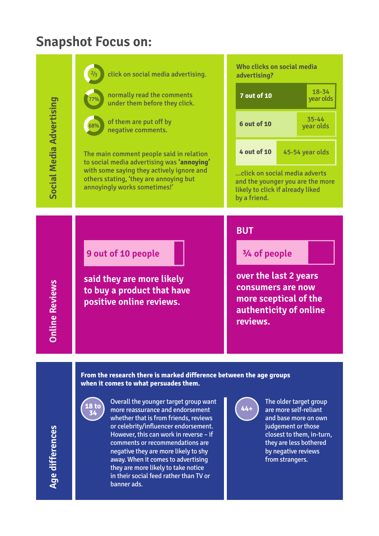#### **Snapshot Focus on:**



(18 to<br>34

Overall the younger target group want 18 to more reassurance and endorsement  $\begin{bmatrix} 44+26 \ 36 \end{bmatrix}$ whether that is from friends, reviews or celebrity/influencer endorsement. However, this can work in reverse – if comments or recommendations are negative they are more likely to shy away. When it comes to advertising they are more likely to take notice in their social feed rather than TV or banner ads.

The older target group are more self-reliant and base more on own judgement or those closest to them, in-turn, they are less bothered by negative reviews from strangers.

**Social Media Advertising**

Social Media Advertising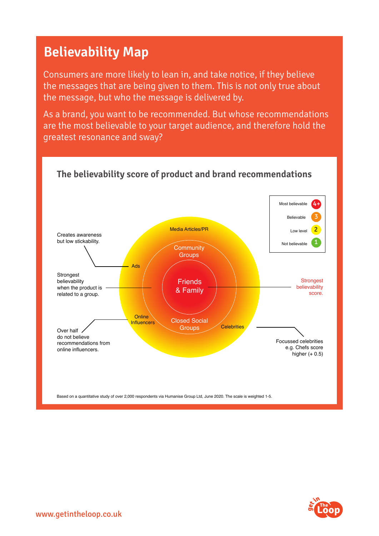### **Believability Map**

Consumers are more likely to lean in, and take notice, if they believe the messages that are being given to them. This is not only true about the message, but who the message is delivered by.

As a brand, you want to be recommended. But whose recommendations are the most believable to your target audience, and therefore hold the greatest resonance and sway?



#### **The believability score of product and brand recommendations**